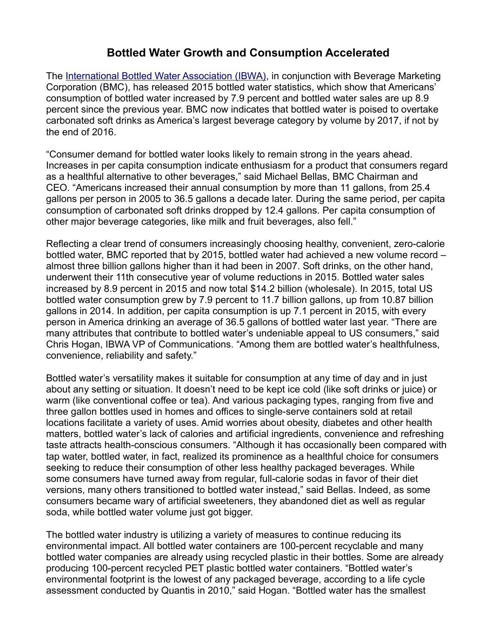## **Bottled Water Growth and Consumption Accelerated**

The [International Bottled Water Association \(IBWA\),](http://www.bottledwater.org/) in conjunction with Beverage Marketing Corporation (BMC), has released 2015 bottled water statistics, which show that Americans' consumption of bottled water increased by 7.9 percent and bottled water sales are up 8.9 percent since the previous year. BMC now indicates that bottled water is poised to overtake carbonated soft drinks as America's largest beverage category by volume by 2017, if not by the end of 2016.

"Consumer demand for bottled water looks likely to remain strong in the years ahead. Increases in per capita consumption indicate enthusiasm for a product that consumers regard as a healthful alternative to other beverages," said Michael Bellas, BMC Chairman and CEO. "Americans increased their annual consumption by more than 11 gallons, from 25.4 gallons per person in 2005 to 36.5 gallons a decade later. During the same period, per capita consumption of carbonated soft drinks dropped by 12.4 gallons. Per capita consumption of other major beverage categories, like milk and fruit beverages, also fell."

Reflecting a clear trend of consumers increasingly choosing healthy, convenient, zero-calorie bottled water, BMC reported that by 2015, bottled water had achieved a new volume record – almost three billion gallons higher than it had been in 2007. Soft drinks, on the other hand, underwent their 11th consecutive year of volume reductions in 2015. Bottled water sales increased by 8.9 percent in 2015 and now total \$14.2 billion (wholesale). In 2015, total US bottled water consumption grew by 7.9 percent to 11.7 billion gallons, up from 10.87 billion gallons in 2014. In addition, per capita consumption is up 7.1 percent in 2015, with every person in America drinking an average of 36.5 gallons of bottled water last year. "There are many attributes that contribute to bottled water's undeniable appeal to US consumers," said Chris Hogan, IBWA VP of Communications. "Among them are bottled water's healthfulness, convenience, reliability and safety."

Bottled water's versatility makes it suitable for consumption at any time of day and in just about any setting or situation. It doesn't need to be kept ice cold (like soft drinks or juice) or warm (like conventional coffee or tea). And various packaging types, ranging from five and three gallon bottles used in homes and offices to single-serve containers sold at retail locations facilitate a variety of uses. Amid worries about obesity, diabetes and other health matters, bottled water's lack of calories and artificial ingredients, convenience and refreshing taste attracts health-conscious consumers. "Although it has occasionally been compared with tap water, bottled water, in fact, realized its prominence as a healthful choice for consumers seeking to reduce their consumption of other less healthy packaged beverages. While some consumers have turned away from regular, full-calorie sodas in favor of their diet versions, many others transitioned to bottled water instead," said Bellas. Indeed, as some consumers became wary of artificial sweeteners, they abandoned diet as well as regular soda, while bottled water volume just got bigger.

The bottled water industry is utilizing a variety of measures to continue reducing its environmental impact. All bottled water containers are 100-percent recyclable and many bottled water companies are already using recycled plastic in their bottles. Some are already producing 100-percent recycled PET plastic bottled water containers. "Bottled water's environmental footprint is the lowest of any packaged beverage, according to a life cycle assessment conducted by Quantis in 2010," said Hogan. "Bottled water has the smallest